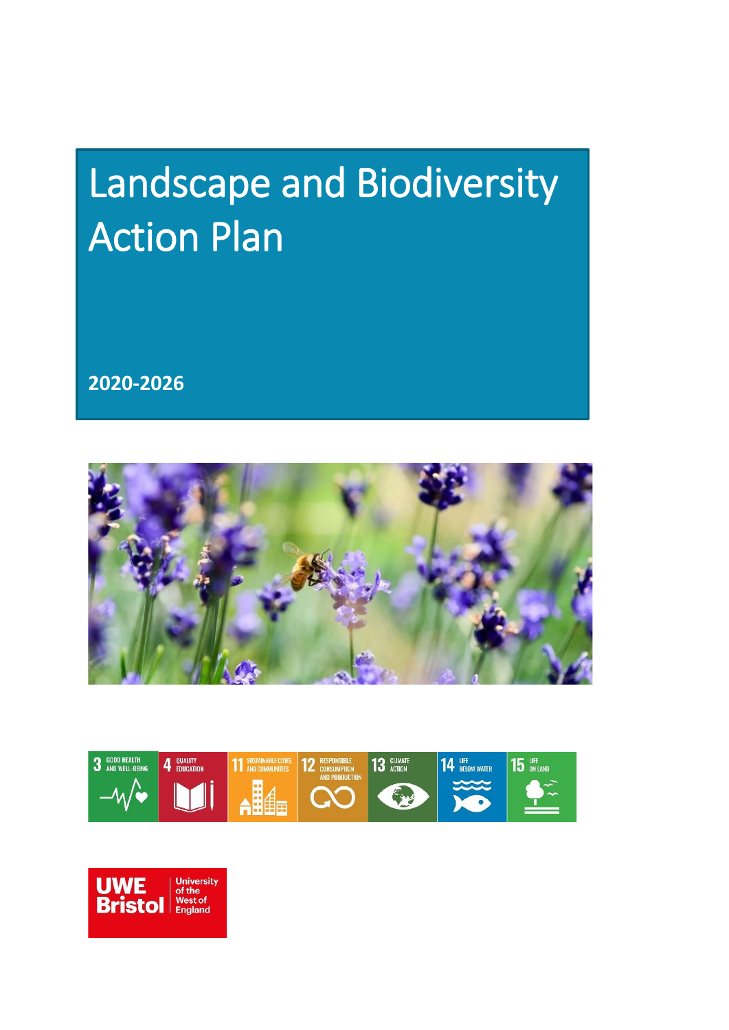# Landscape and Biodiversity Action Plan

**2020-2026**





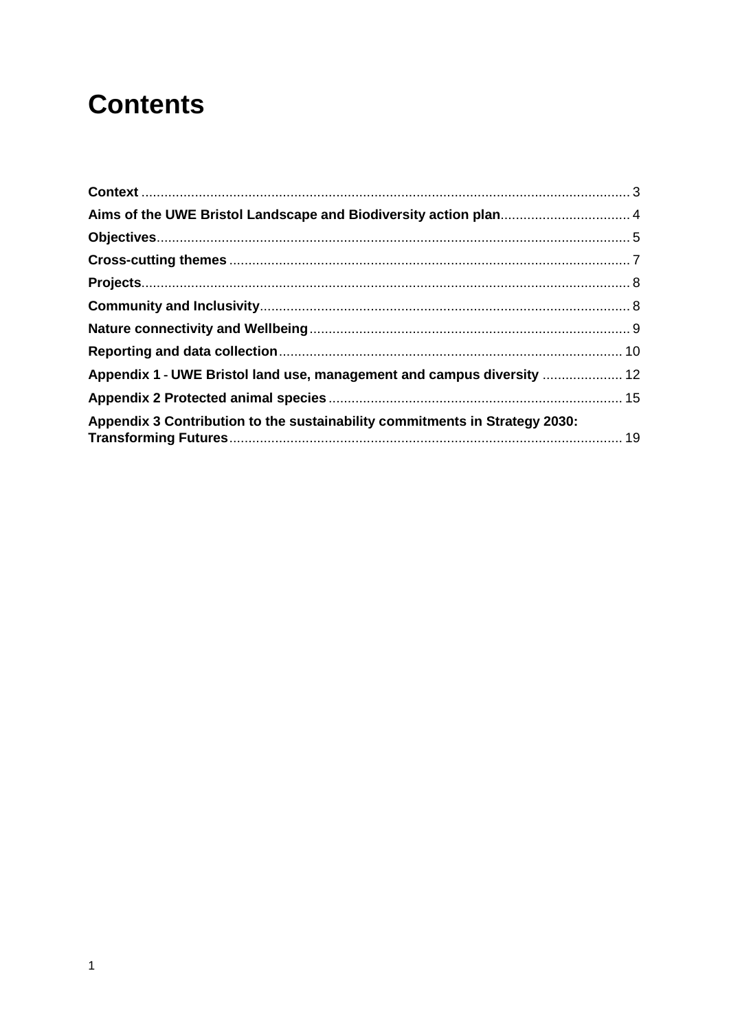# **Contents**

| Appendix 1 - UWE Bristol land use, management and campus diversity  12      |  |
|-----------------------------------------------------------------------------|--|
|                                                                             |  |
| Appendix 3 Contribution to the sustainability commitments in Strategy 2030: |  |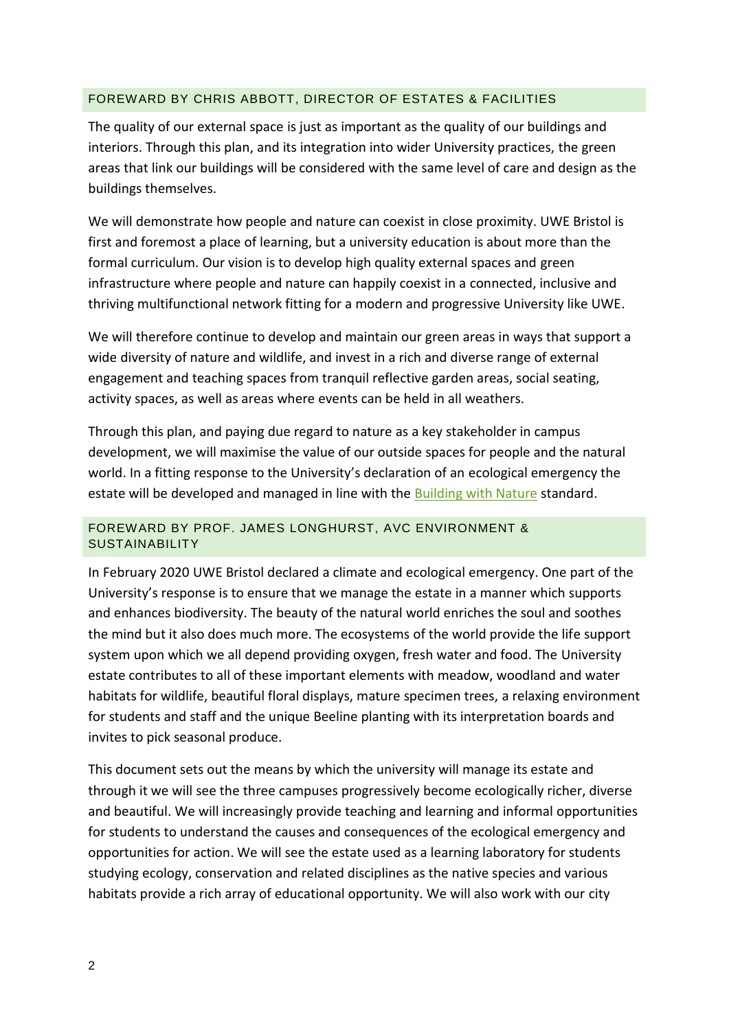#### FOREWARD BY CHRIS ABBOTT, DIRECTOR OF ESTATES & FACILITIES

The quality of our external space is just as important as the quality of our buildings and interiors. Through this plan, and its integration into wider University practices, the green areas that link our buildings will be considered with the same level of care and design as the buildings themselves.

We will demonstrate how people and nature can coexist in close proximity. UWE Bristol is first and foremost a place of learning, but a university education is about more than the formal curriculum. Our vision is to develop high quality external spaces and green infrastructure where people and nature can happily coexist in a connected, inclusive and thriving multifunctional network fitting for a modern and progressive University like UWE.

We will therefore continue to develop and maintain our green areas in ways that support a wide diversity of nature and wildlife, and invest in a rich and diverse range of external engagement and teaching spaces from tranquil reflective garden areas, social seating, activity spaces, as well as areas where events can be held in all weathers.

Through this plan, and paying due regard to nature as a key stakeholder in campus development, we will maximise the value of our outside spaces for people and the natural world. In a fitting response to the University's declaration of an ecological emergency the estate will be developed and managed in line with the [Building with Nature](http://www.buildingwithnature.org.uk/) standard.

#### FOREWARD BY PROF. JAMES LONGHURST, AVC ENVIRONMENT & SUSTAINABILITY

In February 2020 UWE Bristol declared a climate and ecological emergency. One part of the University's response is to ensure that we manage the estate in a manner which supports and enhances biodiversity. The beauty of the natural world enriches the soul and soothes the mind but it also does much more. The ecosystems of the world provide the life support system upon which we all depend providing oxygen, fresh water and food. The University estate contributes to all of these important elements with meadow, woodland and water habitats for wildlife, beautiful floral displays, mature specimen trees, a relaxing environment for students and staff and the unique Beeline planting with its interpretation boards and invites to pick seasonal produce.

This document sets out the means by which the university will manage its estate and through it we will see the three campuses progressively become ecologically richer, diverse and beautiful. We will increasingly provide teaching and learning and informal opportunities for students to understand the causes and consequences of the ecological emergency and opportunities for action. We will see the estate used as a learning laboratory for students studying ecology, conservation and related disciplines as the native species and various habitats provide a rich array of educational opportunity. We will also work with our city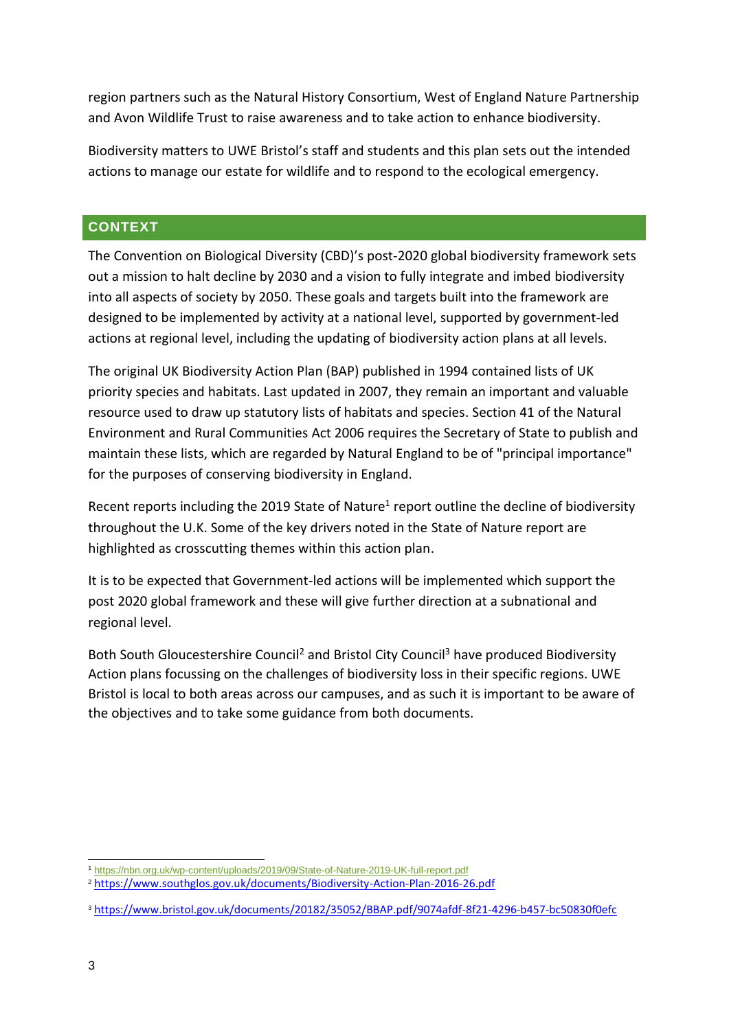region partners such as the Natural History Consortium, West of England Nature Partnership and Avon Wildlife Trust to raise awareness and to take action to enhance biodiversity.

Biodiversity matters to UWE Bristol's staff and students and this plan sets out the intended actions to manage our estate for wildlife and to respond to the ecological emergency.

#### <span id="page-3-0"></span>**CONTEXT**

The Convention on Biological Diversity (CBD)'s post-2020 global biodiversity framework sets out a mission to halt decline by 2030 and a vision to fully integrate and imbed biodiversity into all aspects of society by 2050. These goals and targets built into the framework are designed to be implemented by activity at a national level, supported by government-led actions at regional level, including the updating of biodiversity action plans at all levels.

The original UK Biodiversity Action Plan (BAP) published in 1994 contained lists of UK priority species and habitats. Last updated in 2007, they remain an important and valuable resource used to draw up statutory lists of habitats and species. Section 41 of the Natural Environment and Rural Communities Act 2006 requires the Secretary of State to publish and maintain these lists, which are regarded by Natural England to be of "principal importance" for the purposes of conserving biodiversity in England.

Recent reports including the 2019 State of Nature<sup>1</sup> report outline the decline of biodiversity throughout the U.K. Some of the key drivers noted in the State of Nature report are highlighted as crosscutting themes within this action plan.

It is to be expected that Government-led actions will be implemented which support the post 2020 global framework and these will give further direction at a subnational and regional level.

Both South Gloucestershire Council<sup>2</sup> and Bristol City Council<sup>3</sup> have produced Biodiversity Action plans focussing on the challenges of biodiversity loss in their specific regions. UWE Bristol is local to both areas across our campuses, and as such it is important to be aware of the objectives and to take some guidance from both documents.

<sup>-</sup><sup>1</sup> <https://nbn.org.uk/wp-content/uploads/2019/09/State-of-Nature-2019-UK-full-report.pdf>

<sup>2</sup> <https://www.southglos.gov.uk/documents/Biodiversity-Action-Plan-2016-26.pdf>

<sup>3</sup> <https://www.bristol.gov.uk/documents/20182/35052/BBAP.pdf/9074afdf-8f21-4296-b457-bc50830f0efc>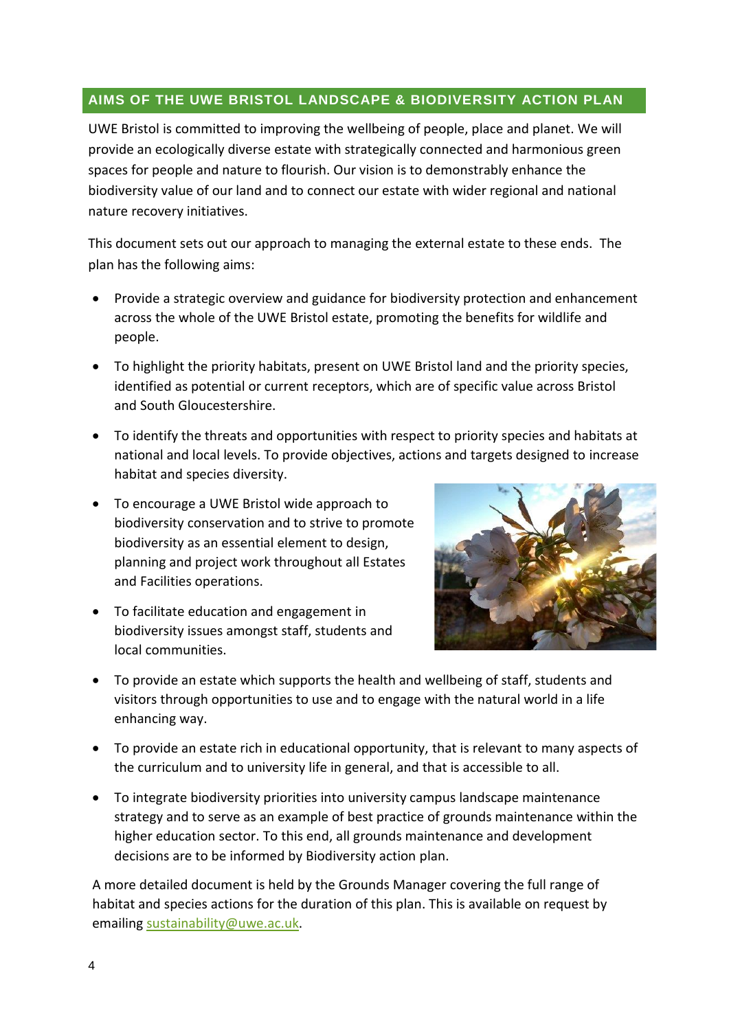# <span id="page-4-0"></span>**AIMS OF THE UWE BRISTOL LANDSCAPE & BIODIVERSITY ACTION PLAN**

UWE Bristol is committed to improving the wellbeing of people, place and planet. We will provide an ecologically diverse estate with strategically connected and harmonious green spaces for people and nature to flourish. Our vision is to demonstrably enhance the biodiversity value of our land and to connect our estate with wider regional and national nature recovery initiatives.

This document sets out our approach to managing the external estate to these ends. The plan has the following aims:

- Provide a strategic overview and guidance for biodiversity protection and enhancement across the whole of the UWE Bristol estate, promoting the benefits for wildlife and people.
- To highlight the priority habitats, present on UWE Bristol land and the priority species, identified as potential or current receptors, which are of specific value across Bristol and South Gloucestershire.
- To identify the threats and opportunities with respect to priority species and habitats at national and local levels. To provide objectives, actions and targets designed to increase habitat and species diversity.
- To encourage a UWE Bristol wide approach to biodiversity conservation and to strive to promote biodiversity as an essential element to design, planning and project work throughout all Estates and Facilities operations.
- To facilitate education and engagement in biodiversity issues amongst staff, students and local communities.



- To provide an estate which supports the health and wellbeing of staff, students and visitors through opportunities to use and to engage with the natural world in a life enhancing way.
- To provide an estate rich in educational opportunity, that is relevant to many aspects of the curriculum and to university life in general, and that is accessible to all.
- To integrate biodiversity priorities into university campus landscape maintenance strategy and to serve as an example of best practice of grounds maintenance within the higher education sector. To this end, all grounds maintenance and development decisions are to be informed by Biodiversity action plan.

A more detailed document is held by the Grounds Manager covering the full range of habitat and species actions for the duration of this plan. This is available on request by emailin[g sustainability@uwe.ac.uk.](mailto:sustainability@uwe.ac.uk)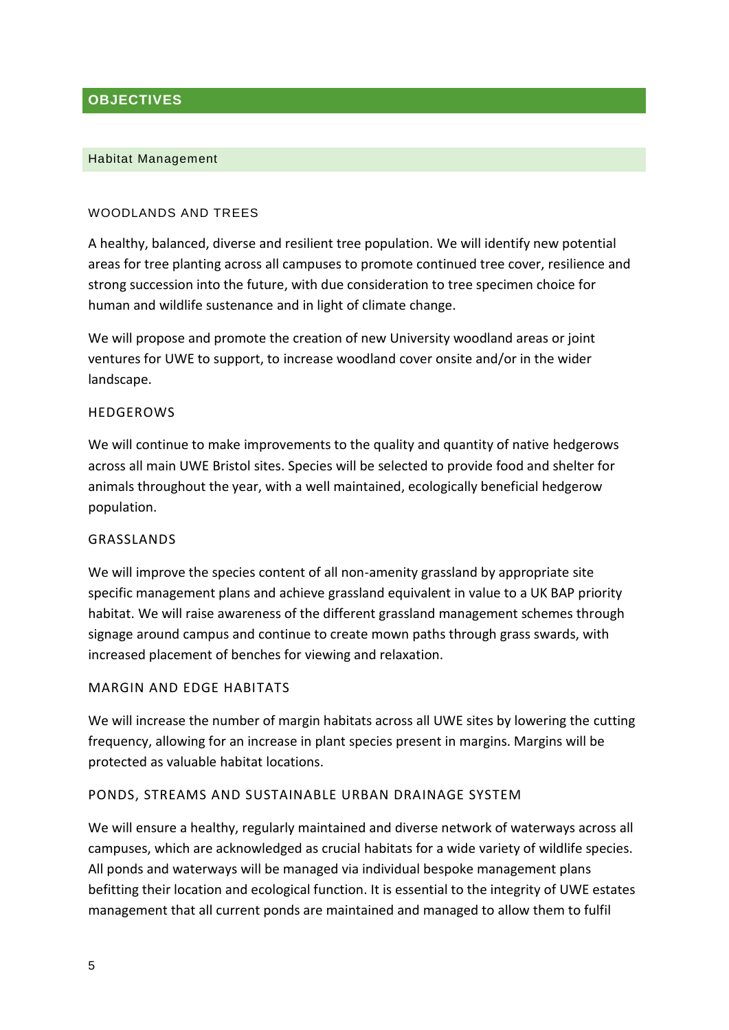# <span id="page-5-0"></span>**OBJECTIVES**

#### Habitat Management

#### WOODLANDS AND TREES

A healthy, balanced, diverse and resilient tree population. We will identify new potential areas for tree planting across all campuses to promote continued tree cover, resilience and strong succession into the future, with due consideration to tree specimen choice for human and wildlife sustenance and in light of climate change.

We will propose and promote the creation of new University woodland areas or joint ventures for UWE to support, to increase woodland cover onsite and/or in the wider landscape.

#### **HEDGEROWS**

We will continue to make improvements to the quality and quantity of native hedgerows across all main UWE Bristol sites. Species will be selected to provide food and shelter for animals throughout the year, with a well maintained, ecologically beneficial hedgerow population.

#### GRASSLANDS

We will improve the species content of all non-amenity grassland by appropriate site specific management plans and achieve grassland equivalent in value to a UK BAP priority habitat. We will raise awareness of the different grassland management schemes through signage around campus and continue to create mown paths through grass swards, with increased placement of benches for viewing and relaxation.

#### MARGIN AND EDGE HABITATS

We will increase the number of margin habitats across all UWE sites by lowering the cutting frequency, allowing for an increase in plant species present in margins. Margins will be protected as valuable habitat locations.

#### PONDS, STREAMS AND SUSTAINABLE URBAN DRAINAGE SYSTEM

We will ensure a healthy, regularly maintained and diverse network of waterways across all campuses, which are acknowledged as crucial habitats for a wide variety of wildlife species. All ponds and waterways will be managed via individual bespoke management plans befitting their location and ecological function. It is essential to the integrity of UWE estates management that all current ponds are maintained and managed to allow them to fulfil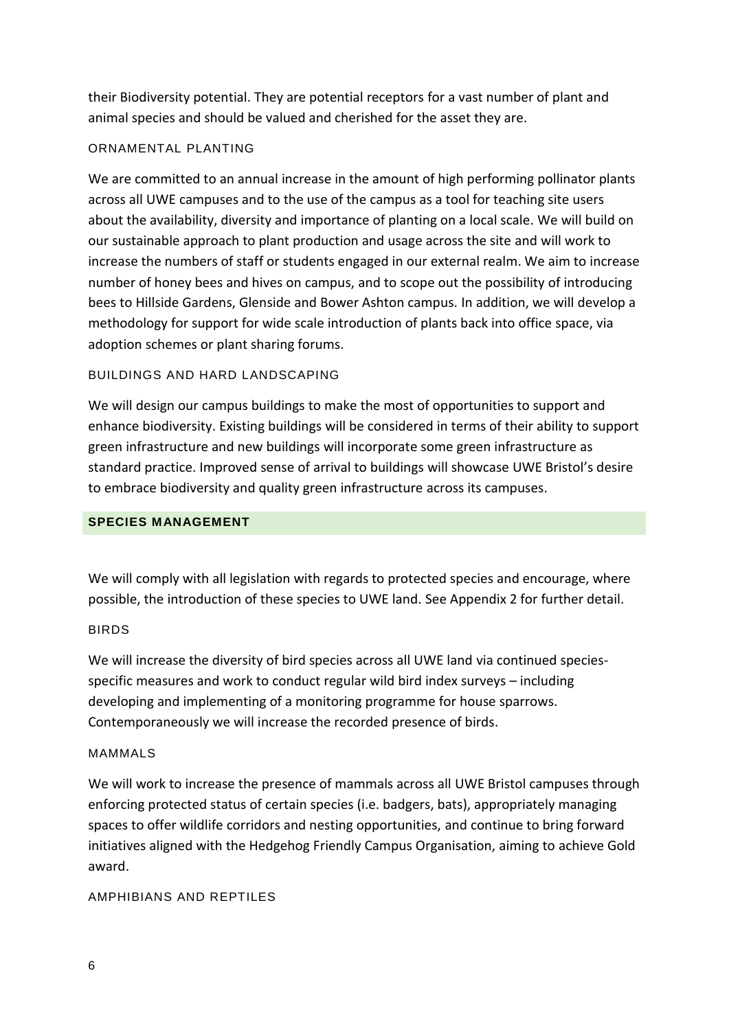their Biodiversity potential. They are potential receptors for a vast number of plant and animal species and should be valued and cherished for the asset they are.

#### ORNAMENTAL PLANTING

We are committed to an annual increase in the amount of high performing pollinator plants across all UWE campuses and to the use of the campus as a tool for teaching site users about the availability, diversity and importance of planting on a local scale. We will build on our sustainable approach to plant production and usage across the site and will work to increase the numbers of staff or students engaged in our external realm. We aim to increase number of honey bees and hives on campus, and to scope out the possibility of introducing bees to Hillside Gardens, Glenside and Bower Ashton campus. In addition, we will develop a methodology for support for wide scale introduction of plants back into office space, via adoption schemes or plant sharing forums.

#### BUILDINGS AND HARD LANDSCAPING

We will design our campus buildings to make the most of opportunities to support and enhance biodiversity. Existing buildings will be considered in terms of their ability to support green infrastructure and new buildings will incorporate some green infrastructure as standard practice. Improved sense of arrival to buildings will showcase UWE Bristol's desire to embrace biodiversity and quality green infrastructure across its campuses.

#### **SPECIES MANAGEMENT**

We will comply with all legislation with regards to protected species and encourage, where possible, the introduction of these species to UWE land. See Appendix 2 for further detail.

#### BIRDS

We will increase the diversity of bird species across all UWE land via continued speciesspecific measures and work to conduct regular wild bird index surveys – including developing and implementing of a monitoring programme for house sparrows. Contemporaneously we will increase the recorded presence of birds.

#### MAMMALS

We will work to increase the presence of mammals across all UWE Bristol campuses through enforcing protected status of certain species (i.e. badgers, bats), appropriately managing spaces to offer wildlife corridors and nesting opportunities, and continue to bring forward initiatives aligned with the Hedgehog Friendly Campus Organisation, aiming to achieve Gold award.

#### AMPHIBIANS AND REPTILES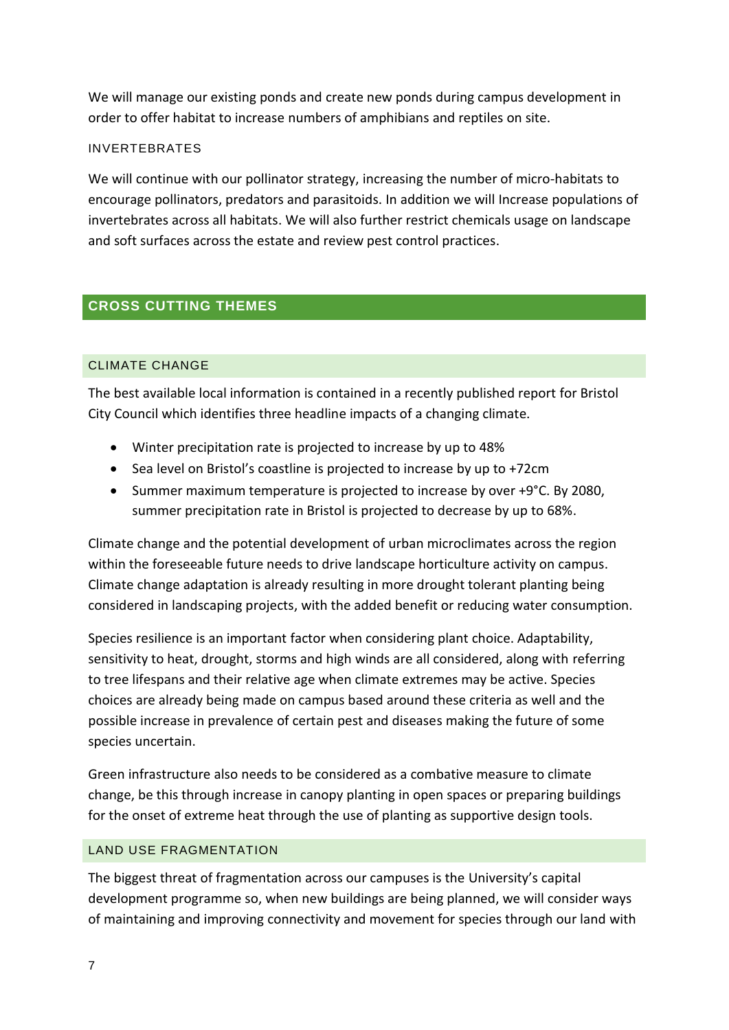We will manage our existing ponds and create new ponds during campus development in order to offer habitat to increase numbers of amphibians and reptiles on site.

#### INVERTEBRATES

We will continue with our pollinator strategy, increasing the number of micro-habitats to encourage pollinators, predators and parasitoids. In addition we will Increase populations of invertebrates across all habitats. We will also further restrict chemicals usage on landscape and soft surfaces across the estate and review pest control practices.

# <span id="page-7-0"></span>**CROSS CUTTING THEMES**

#### CLIMATE CHANGE

The best available local information is contained in a recently published report for Bristol City Council which identifies three headline impacts of a changing climate.

- Winter precipitation rate is projected to increase by up to 48%
- Sea level on Bristol's coastline is projected to increase by up to +72cm
- Summer maximum temperature is projected to increase by over +9°C. By 2080, summer precipitation rate in Bristol is projected to decrease by up to 68%.

Climate change and the potential development of urban microclimates across the region within the foreseeable future needs to drive landscape horticulture activity on campus. Climate change adaptation is already resulting in more drought tolerant planting being considered in landscaping projects, with the added benefit or reducing water consumption.

Species resilience is an important factor when considering plant choice. Adaptability, sensitivity to heat, drought, storms and high winds are all considered, along with referring to tree lifespans and their relative age when climate extremes may be active. Species choices are already being made on campus based around these criteria as well and the possible increase in prevalence of certain pest and diseases making the future of some species uncertain.

Green infrastructure also needs to be considered as a combative measure to climate change, be this through increase in canopy planting in open spaces or preparing buildings for the onset of extreme heat through the use of planting as supportive design tools.

#### LAND USE FRAGMENTATION

The biggest threat of fragmentation across our campuses is the University's capital development programme so, when new buildings are being planned, we will consider ways of maintaining and improving connectivity and movement for species through our land with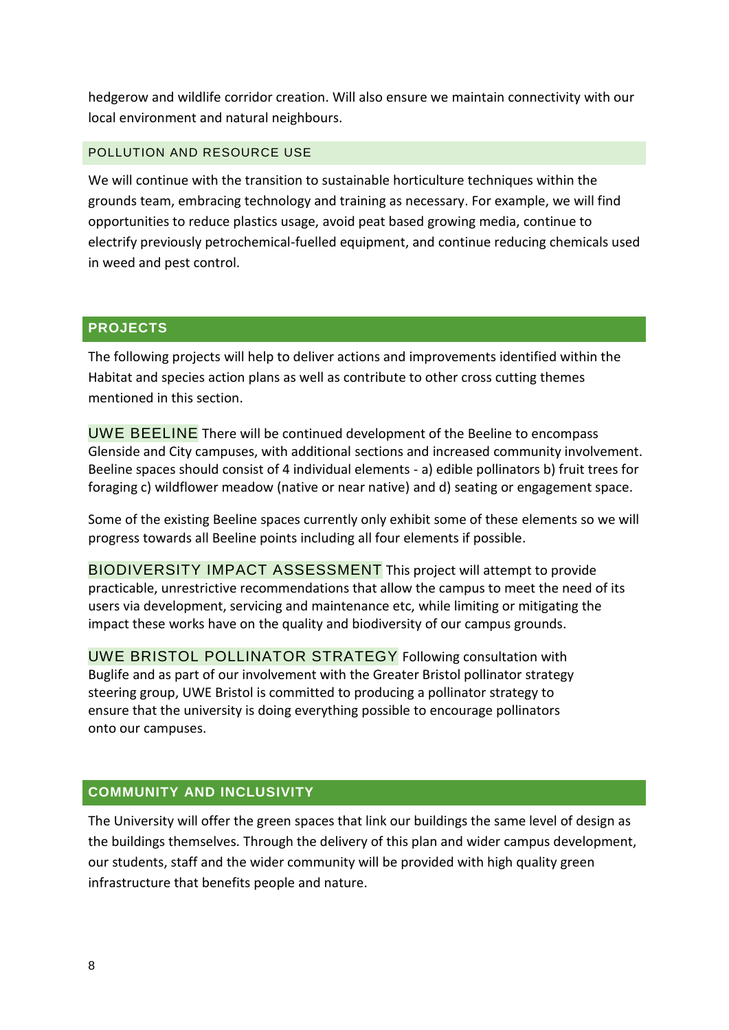hedgerow and wildlife corridor creation. Will also ensure we maintain connectivity with our local environment and natural neighbours.

#### POLLUTION AND RESOURCE USE

We will continue with the transition to sustainable horticulture techniques within the grounds team, embracing technology and training as necessary. For example, we will find opportunities to reduce plastics usage, avoid peat based growing media, continue to electrify previously petrochemical-fuelled equipment, and continue reducing chemicals used in weed and pest control.

#### <span id="page-8-0"></span>**PROJECTS**

The following projects will help to deliver actions and improvements identified within the Habitat and species action plans as well as contribute to other cross cutting themes mentioned in this section.

UWE BEELINE There will be continued development of the Beeline to encompass Glenside and City campuses, with additional sections and increased community involvement. Beeline spaces should consist of 4 individual elements - a) edible pollinators b) fruit trees for foraging c) wildflower meadow (native or near native) and d) seating or engagement space.

Some of the existing Beeline spaces currently only exhibit some of these elements so we will progress towards all Beeline points including all four elements if possible.

BIODIVERSITY IMPACT ASSESSMENT This project will attempt to provide practicable, unrestrictive recommendations that allow the campus to meet the need of its users via development, servicing and maintenance etc, while limiting or mitigating the impact these works have on the quality and biodiversity of our campus grounds.

UWE BRISTOL POLLINATOR STRATEGY Following consultation with Buglife and as part of our involvement with the Greater Bristol pollinator strategy steering group, UWE Bristol is committed to producing a pollinator strategy to ensure that the university is doing everything possible to encourage pollinators onto our campuses.

#### <span id="page-8-1"></span>**COMMUNITY AND INCLUSIVITY**

The University will offer the green spaces that link our buildings the same level of design as the buildings themselves. Through the delivery of this plan and wider campus development, our students, staff and the wider community will be provided with high quality green infrastructure that benefits people and nature.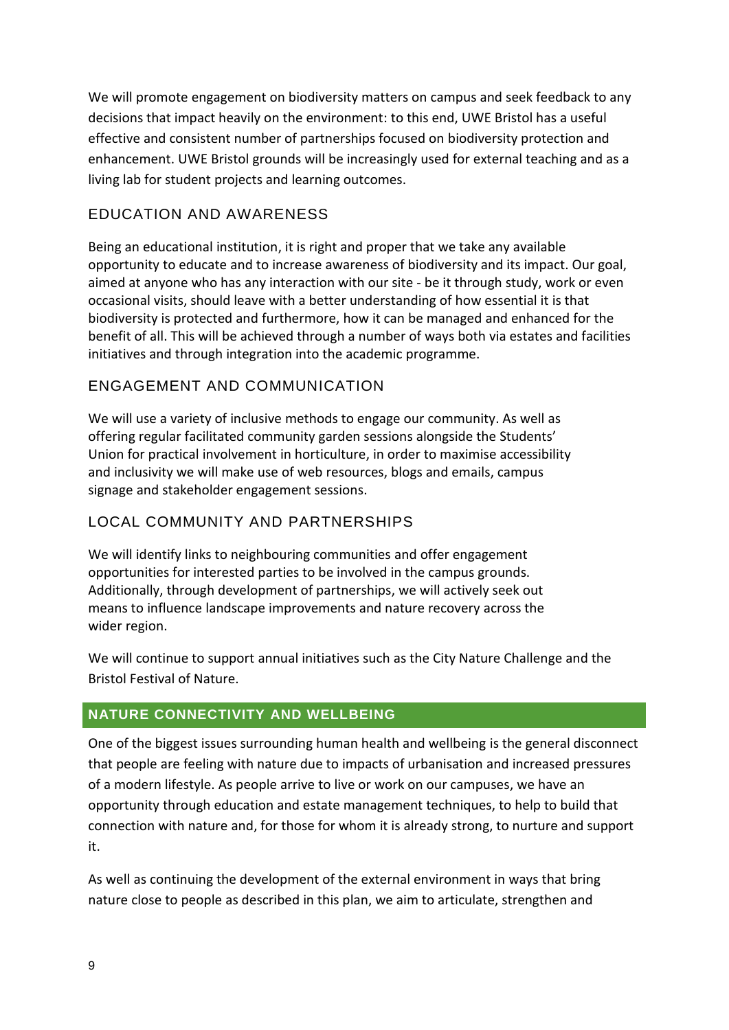We will promote engagement on biodiversity matters on campus and seek feedback to any decisions that impact heavily on the environment: to this end, UWE Bristol has a useful effective and consistent number of partnerships focused on biodiversity protection and enhancement. UWE Bristol grounds will be increasingly used for external teaching and as a living lab for student projects and learning outcomes.

# EDUCATION AND AWARENESS

Being an educational institution, it is right and proper that we take any available opportunity to educate and to increase awareness of biodiversity and its impact. Our goal, aimed at anyone who has any interaction with our site - be it through study, work or even occasional visits, should leave with a better understanding of how essential it is that biodiversity is protected and furthermore, how it can be managed and enhanced for the benefit of all. This will be achieved through a number of ways both via estates and facilities initiatives and through integration into the academic programme.

# ENGAGEMENT AND COMMUNICATION

We will use a variety of inclusive methods to engage our community. As well as offering regular facilitated community garden sessions alongside the Students' Union for practical involvement in horticulture, in order to maximise accessibility and inclusivity we will make use of web resources, blogs and emails, campus signage and stakeholder engagement sessions.

# LOCAL COMMUNITY AND PARTNERSHIPS

We will identify links to neighbouring communities and offer engagement opportunities for interested parties to be involved in the campus grounds. Additionally, through development of partnerships, we will actively seek out means to influence landscape improvements and nature recovery across the wider region.

We will continue to support annual initiatives such as the City Nature Challenge and the Bristol Festival of Nature.

# <span id="page-9-0"></span>**NATURE CONNECTIVITY AND WELLBEING**

One of the biggest issues surrounding human health and wellbeing is the general disconnect that people are feeling with nature due to impacts of urbanisation and increased pressures of a modern lifestyle. As people arrive to live or work on our campuses, we have an opportunity through education and estate management techniques, to help to build that connection with nature and, for those for whom it is already strong, to nurture and support it.

As well as continuing the development of the external environment in ways that bring nature close to people as described in this plan, we aim to articulate, strengthen and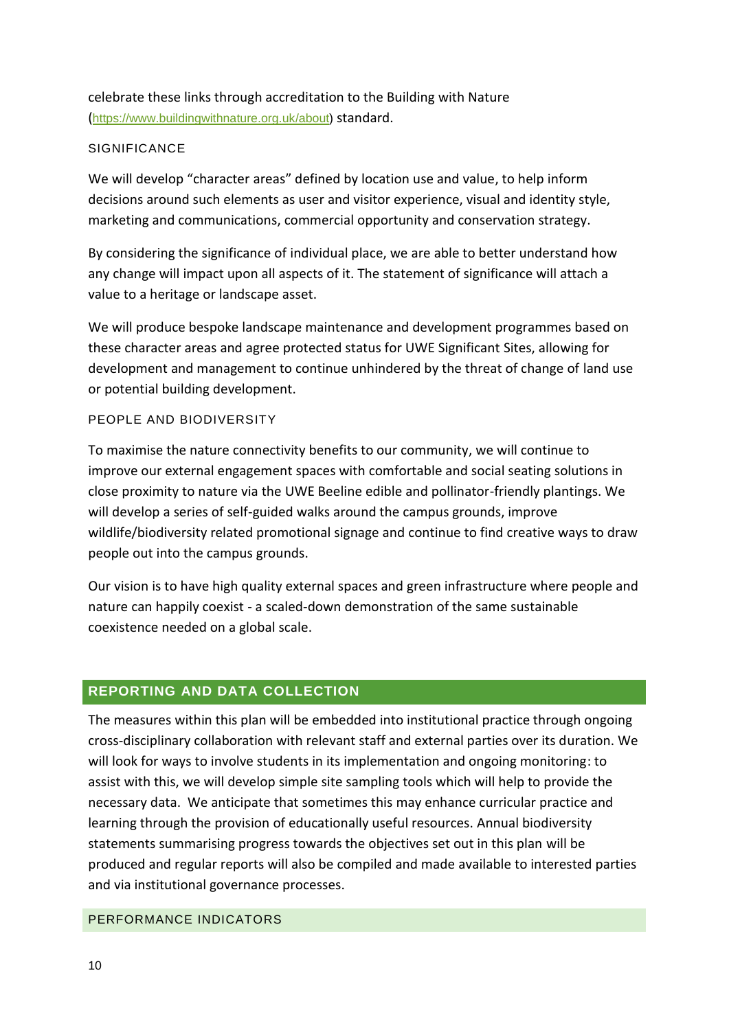celebrate these links through accreditation to the Building with Nature ([https://www.buildingwithnature.org.uk/about\)](https://www.buildingwithnature.org.uk/about) standard.

#### **SIGNIFICANCE**

We will develop "character areas" defined by location use and value, to help inform decisions around such elements as user and visitor experience, visual and identity style, marketing and communications, commercial opportunity and conservation strategy.

By considering the significance of individual place, we are able to better understand how any change will impact upon all aspects of it. The statement of significance will attach a value to a heritage or landscape asset.

We will produce bespoke landscape maintenance and development programmes based on these character areas and agree protected status for UWE Significant Sites, allowing for development and management to continue unhindered by the threat of change of land use or potential building development.

#### PEOPLE AND BIODIVERSITY

To maximise the nature connectivity benefits to our community, we will continue to improve our external engagement spaces with comfortable and social seating solutions in close proximity to nature via the UWE Beeline edible and pollinator-friendly plantings. We will develop a series of self-guided walks around the campus grounds, improve wildlife/biodiversity related promotional signage and continue to find creative ways to draw people out into the campus grounds.

Our vision is to have high quality external spaces and green infrastructure where people and nature can happily coexist - a scaled-down demonstration of the same sustainable coexistence needed on a global scale.

#### <span id="page-10-0"></span>**REPORTING AND DATA COLLECTION**

The measures within this plan will be embedded into institutional practice through ongoing cross-disciplinary collaboration with relevant staff and external parties over its duration. We will look for ways to involve students in its implementation and ongoing monitoring: to assist with this, we will develop simple site sampling tools which will help to provide the necessary data. We anticipate that sometimes this may enhance curricular practice and learning through the provision of educationally useful resources. Annual biodiversity statements summarising progress towards the objectives set out in this plan will be produced and regular reports will also be compiled and made available to interested parties and via institutional governance processes.

#### PERFORMANCE INDICATORS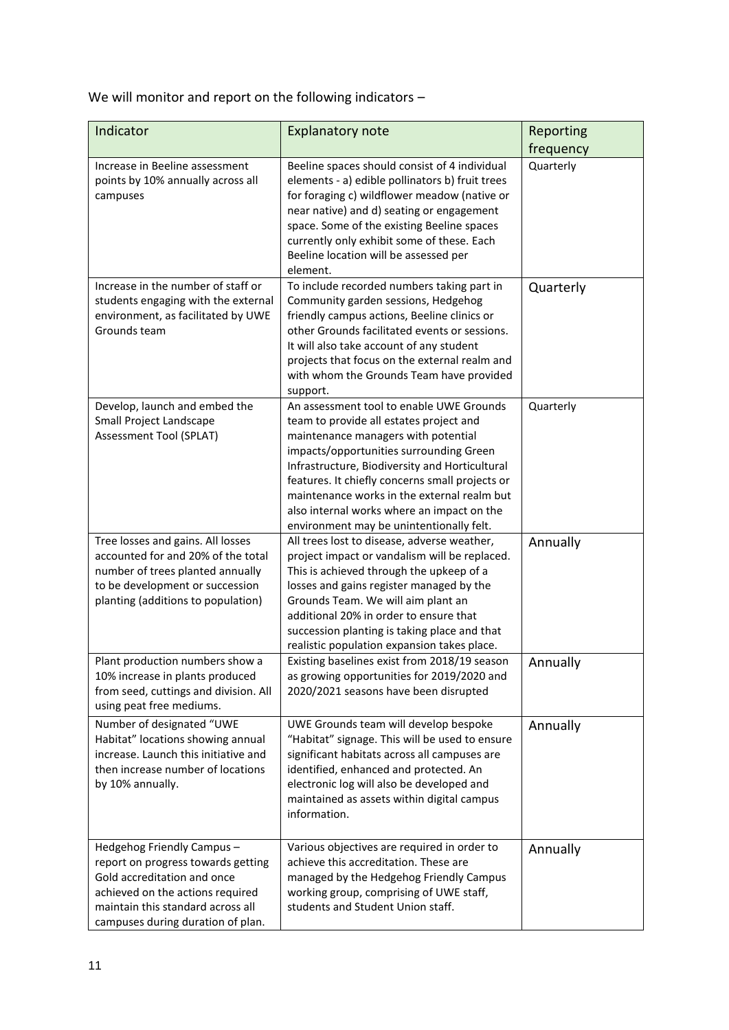We will monitor and report on the following indicators -

| Indicator                                                                                                                                                                                                     | <b>Explanatory note</b>                                                                                                                                                                                                                                                                                                                                                                                             | Reporting |
|---------------------------------------------------------------------------------------------------------------------------------------------------------------------------------------------------------------|---------------------------------------------------------------------------------------------------------------------------------------------------------------------------------------------------------------------------------------------------------------------------------------------------------------------------------------------------------------------------------------------------------------------|-----------|
|                                                                                                                                                                                                               |                                                                                                                                                                                                                                                                                                                                                                                                                     | frequency |
| Increase in Beeline assessment<br>points by 10% annually across all<br>campuses                                                                                                                               | Beeline spaces should consist of 4 individual<br>elements - a) edible pollinators b) fruit trees<br>for foraging c) wildflower meadow (native or<br>near native) and d) seating or engagement<br>space. Some of the existing Beeline spaces<br>currently only exhibit some of these. Each<br>Beeline location will be assessed per<br>element.                                                                      | Quarterly |
| Increase in the number of staff or<br>students engaging with the external<br>environment, as facilitated by UWE<br>Grounds team                                                                               | To include recorded numbers taking part in<br>Community garden sessions, Hedgehog<br>friendly campus actions, Beeline clinics or<br>other Grounds facilitated events or sessions.<br>It will also take account of any student<br>projects that focus on the external realm and<br>with whom the Grounds Team have provided<br>support.                                                                              | Quarterly |
| Develop, launch and embed the<br>Small Project Landscape<br>Assessment Tool (SPLAT)                                                                                                                           | An assessment tool to enable UWE Grounds<br>team to provide all estates project and<br>maintenance managers with potential<br>impacts/opportunities surrounding Green<br>Infrastructure, Biodiversity and Horticultural<br>features. It chiefly concerns small projects or<br>maintenance works in the external realm but<br>also internal works where an impact on the<br>environment may be unintentionally felt. | Quarterly |
| Tree losses and gains. All losses<br>accounted for and 20% of the total<br>number of trees planted annually<br>to be development or succession<br>planting (additions to population)                          | All trees lost to disease, adverse weather,<br>project impact or vandalism will be replaced.<br>This is achieved through the upkeep of a<br>losses and gains register managed by the<br>Grounds Team. We will aim plant an<br>additional 20% in order to ensure that<br>succession planting is taking place and that<br>realistic population expansion takes place.                                                 | Annually  |
| Plant production numbers show a<br>10% increase in plants produced<br>from seed, cuttings and division. All<br>using peat free mediums.                                                                       | Existing baselines exist from 2018/19 season<br>as growing opportunities for 2019/2020 and<br>2020/2021 seasons have been disrupted                                                                                                                                                                                                                                                                                 | Annually  |
| Number of designated "UWE<br>Habitat" locations showing annual<br>increase. Launch this initiative and<br>then increase number of locations<br>by 10% annually.                                               | UWE Grounds team will develop bespoke<br>"Habitat" signage. This will be used to ensure<br>significant habitats across all campuses are<br>identified, enhanced and protected. An<br>electronic log will also be developed and<br>maintained as assets within digital campus<br>information.                                                                                                                        | Annually  |
| Hedgehog Friendly Campus -<br>report on progress towards getting<br>Gold accreditation and once<br>achieved on the actions required<br>maintain this standard across all<br>campuses during duration of plan. | Various objectives are required in order to<br>achieve this accreditation. These are<br>managed by the Hedgehog Friendly Campus<br>working group, comprising of UWE staff,<br>students and Student Union staff.                                                                                                                                                                                                     | Annually  |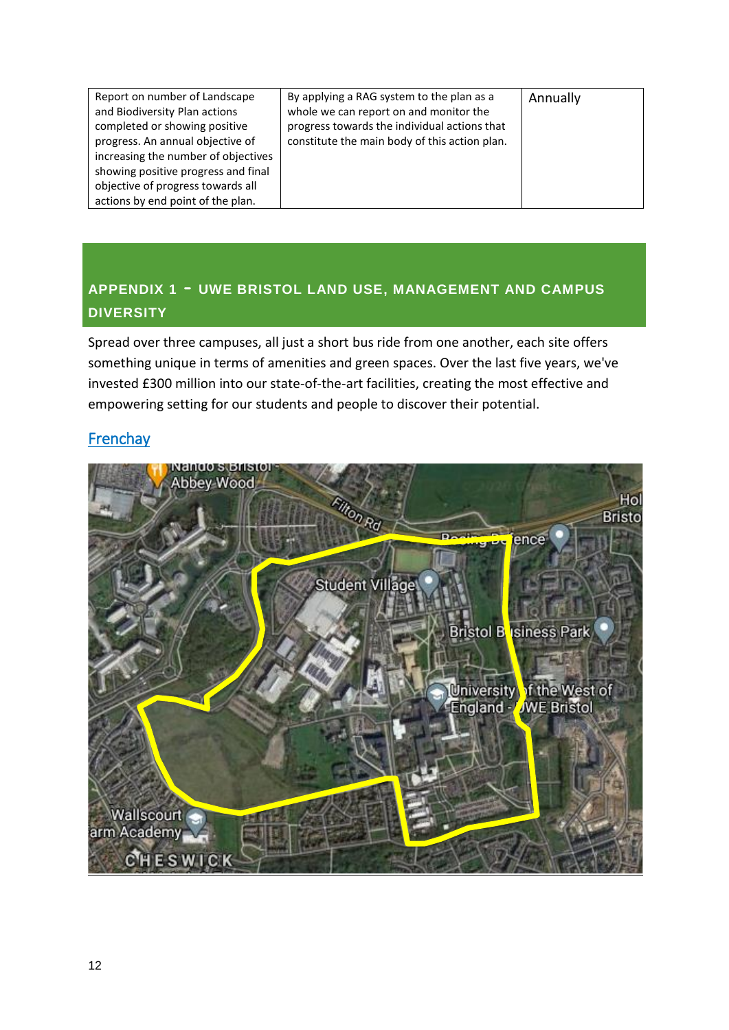# <span id="page-12-0"></span>**APPENDIX <sup>1</sup>** - **UWE BRISTOL LAND USE, MANAGEMENT AND CAMPUS DIVERSITY**

Spread over three campuses, all just a short bus ride from one another, each site offers something unique in terms of amenities and green spaces. Over the last five years, we've invested £300 million into our state-of-the-art facilities, creating the most effective and empowering setting for our students and people to discover their potential.

# Frenchay

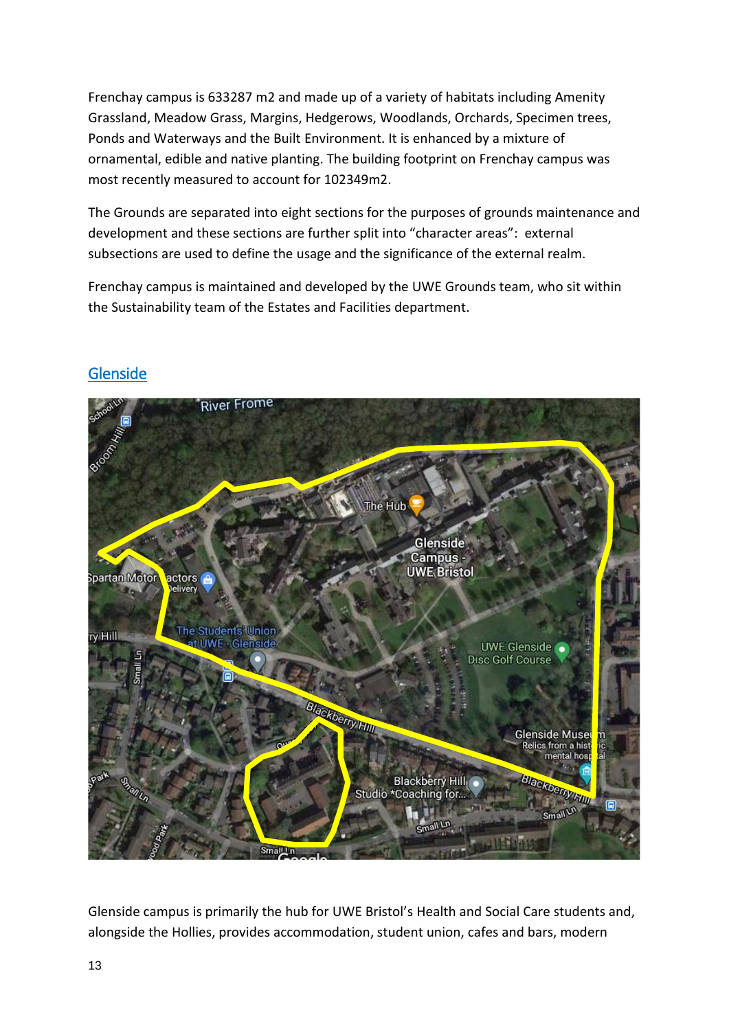Frenchay campus is 633287 m2 and made up of a variety of habitats including Amenity Grassland, Meadow Grass, Margins, Hedgerows, Woodlands, Orchards, Specimen trees, Ponds and Waterways and the Built Environment. It is enhanced by a mixture of ornamental, edible and native planting. The building footprint on Frenchay campus was most recently measured to account for 102349m2.

The Grounds are separated into eight sections for the purposes of grounds maintenance and development and these sections are further split into "character areas": external subsections are used to define the usage and the significance of the external realm.

Frenchay campus is maintained and developed by the UWE Grounds team, who sit within the Sustainability team of the Estates and Facilities department.



# **Glenside**

Glenside campus is primarily the hub for UWE Bristol's Health and Social Care students and, alongside the Hollies, provides accommodation, student union, cafes and bars, modern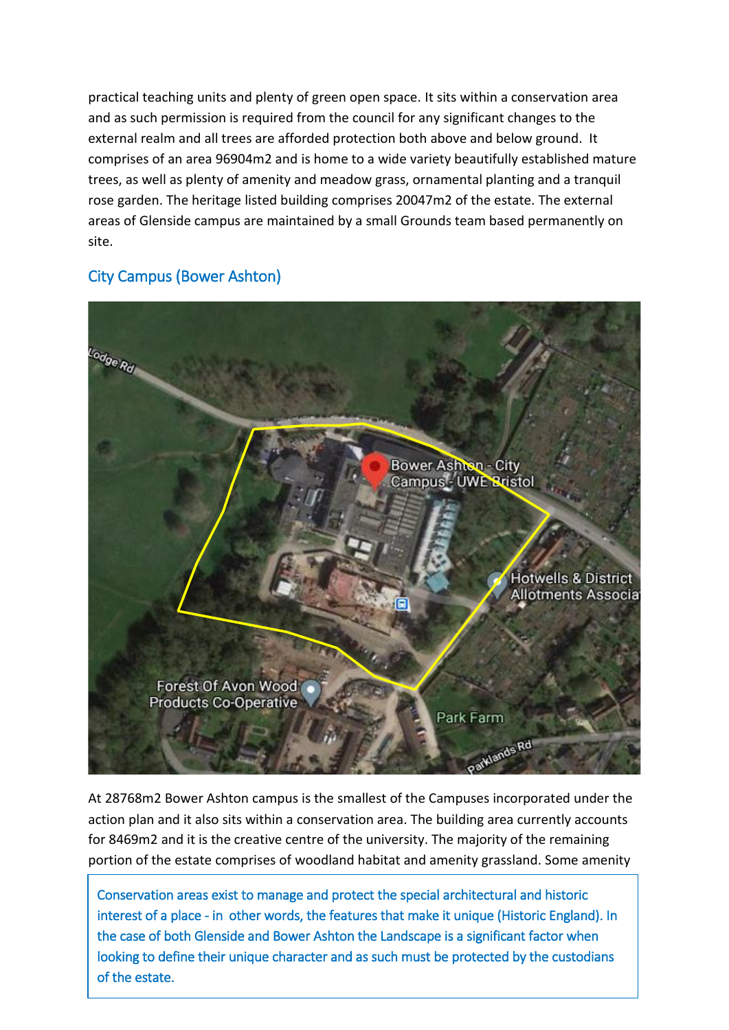practical teaching units and plenty of green open space. It sits within a conservation area and as such permission is required from the council for any significant changes to the external realm and all trees are afforded protection both above and below ground. It comprises of an area 96904m2 and is home to a wide variety beautifully established mature trees, as well as plenty of amenity and meadow grass, ornamental planting and a tranquil rose garden. The heritage listed building comprises 20047m2 of the estate. The external areas of Glenside campus are maintained by a small Grounds team based permanently on site.

# City Campus (Bower Ashton)



At 28768m2 Bower Ashton campus is the smallest of the Campuses incorporated under the action plan and it also sits within a conservation area. The building area currently accounts for 8469m2 and it is the creative centre of the university. The majority of the remaining portion of the estate comprises of woodland habitat and amenity grassland. Some amenity

14 Conservation areas exist to manage and protect the special architectural and historic interest of a place - in other words, the features that make it unique (Historic England). In the case of both Glenside and Bower Ashton the Landscape is a significant factor when looking to define their unique character and as such must be protected by the custodians of the estate.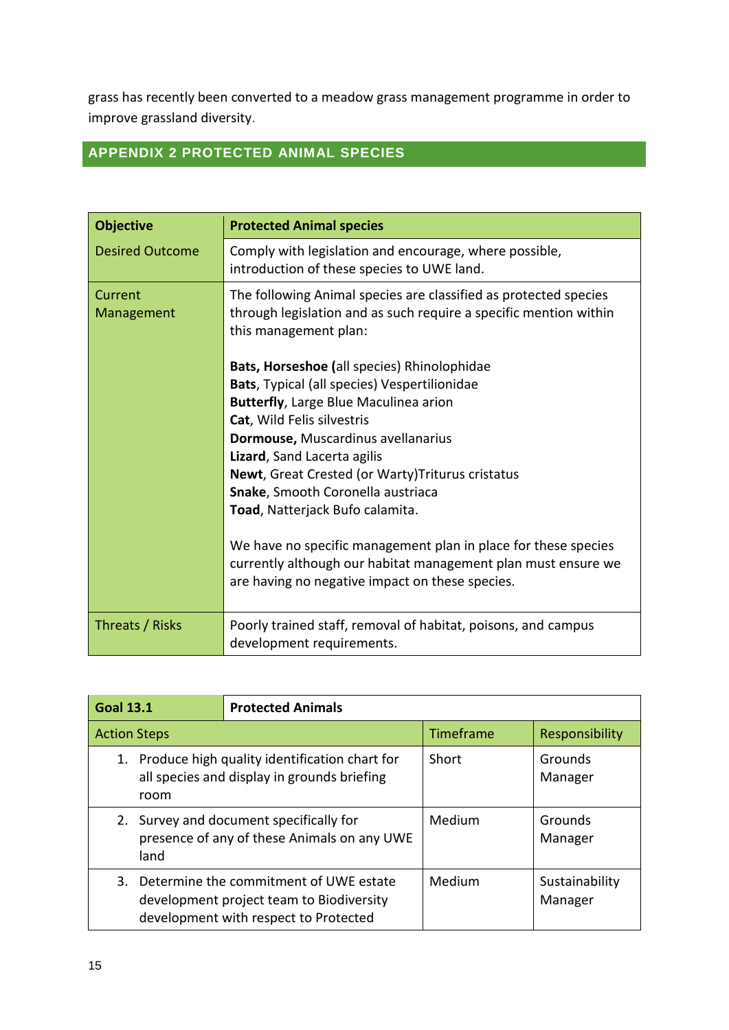grass has recently been converted to a meadow grass management programme in order to improve grassland diversity.

# <span id="page-15-0"></span>**APPENDIX 2 PROTECTED ANIMAL SPECIES**

| <b>Objective</b>       | <b>Protected Animal species</b>                                                                                                                                                    |  |  |
|------------------------|------------------------------------------------------------------------------------------------------------------------------------------------------------------------------------|--|--|
| <b>Desired Outcome</b> | Comply with legislation and encourage, where possible,<br>introduction of these species to UWE land.                                                                               |  |  |
| Current<br>Management  | The following Animal species are classified as protected species<br>through legislation and as such require a specific mention within<br>this management plan:                     |  |  |
|                        | Bats, Horseshoe (all species) Rhinolophidae                                                                                                                                        |  |  |
|                        | Bats, Typical (all species) Vespertilionidae                                                                                                                                       |  |  |
|                        | <b>Butterfly, Large Blue Maculinea arion</b>                                                                                                                                       |  |  |
|                        | Cat, Wild Felis silvestris                                                                                                                                                         |  |  |
|                        | Dormouse, Muscardinus avellanarius                                                                                                                                                 |  |  |
|                        | Lizard, Sand Lacerta agilis                                                                                                                                                        |  |  |
|                        | <b>Newt, Great Crested (or Warty) Triturus cristatus</b>                                                                                                                           |  |  |
|                        | Snake, Smooth Coronella austriaca                                                                                                                                                  |  |  |
|                        | Toad, Natterjack Bufo calamita.                                                                                                                                                    |  |  |
|                        | We have no specific management plan in place for these species<br>currently although our habitat management plan must ensure we<br>are having no negative impact on these species. |  |  |
| Threats / Risks        | Poorly trained staff, removal of habitat, poisons, and campus<br>development requirements.                                                                                         |  |  |

| <b>Goal 13.1</b><br><b>Protected Animals</b> |                                                                                                                                |           |                           |
|----------------------------------------------|--------------------------------------------------------------------------------------------------------------------------------|-----------|---------------------------|
| <b>Action Steps</b>                          |                                                                                                                                | Timeframe | Responsibility            |
| room                                         | 1. Produce high quality identification chart for<br>all species and display in grounds briefing                                | Short     | Grounds<br>Manager        |
| land                                         | 2. Survey and document specifically for<br>presence of any of these Animals on any UWE                                         | Medium    | Grounds<br>Manager        |
|                                              | 3. Determine the commitment of UWE estate<br>development project team to Biodiversity<br>development with respect to Protected | Medium    | Sustainability<br>Manager |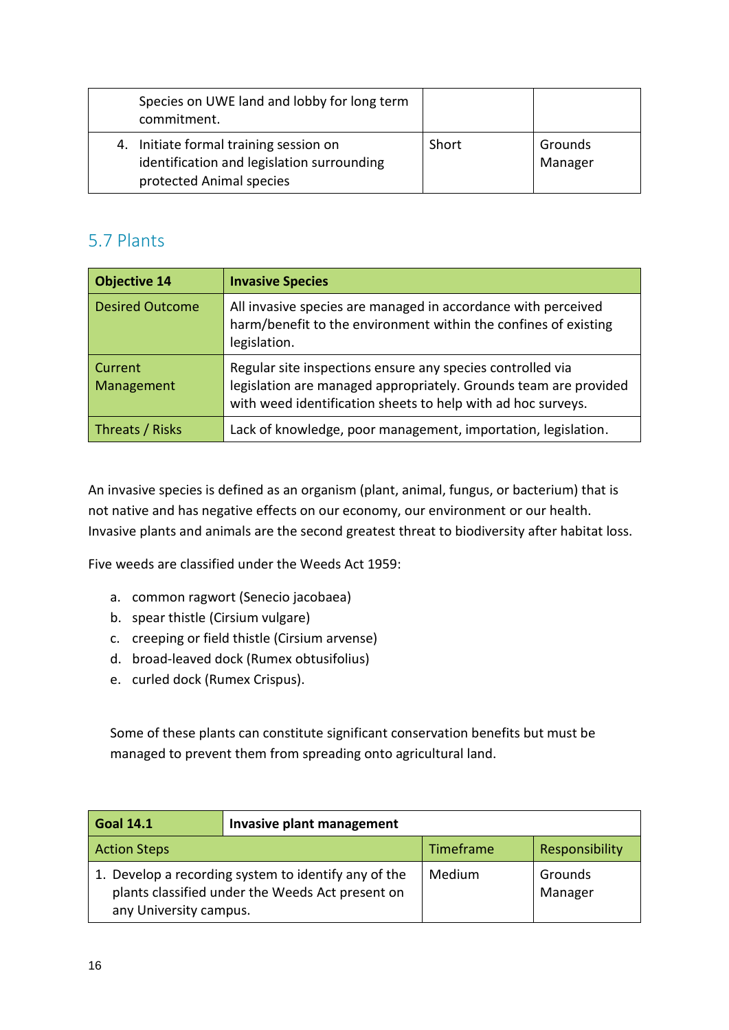| Species on UWE land and lobby for long term<br>commitment.                                                       |       |                    |
|------------------------------------------------------------------------------------------------------------------|-------|--------------------|
| 4. Initiate formal training session on<br>identification and legislation surrounding<br>protected Animal species | Short | Grounds<br>Manager |

# 5.7 Plants

| <b>Objective 14</b>    | <b>Invasive Species</b>                                                                                                                                                                        |
|------------------------|------------------------------------------------------------------------------------------------------------------------------------------------------------------------------------------------|
| <b>Desired Outcome</b> | All invasive species are managed in accordance with perceived<br>harm/benefit to the environment within the confines of existing<br>legislation.                                               |
| Current<br>Management  | Regular site inspections ensure any species controlled via<br>legislation are managed appropriately. Grounds team are provided<br>with weed identification sheets to help with ad hoc surveys. |
| Threats / Risks        | Lack of knowledge, poor management, importation, legislation.                                                                                                                                  |

An invasive species is defined as an organism (plant, animal, fungus, or bacterium) that is not native and has negative effects on our economy, our environment or our health. Invasive plants and animals are the second greatest threat to biodiversity after habitat loss.

Five weeds are classified under the Weeds Act 1959:

- a. common ragwort (Senecio jacobaea)
- b. spear thistle (Cirsium vulgare)
- c. creeping or field thistle (Cirsium arvense)
- d. broad-leaved dock (Rumex obtusifolius)
- e. curled dock (Rumex Crispus).

Some of these plants can constitute significant conservation benefits but must be managed to prevent them from spreading onto agricultural land.

| <b>Goal 14.1</b>                                                                                                                   | Invasive plant management |           |                    |
|------------------------------------------------------------------------------------------------------------------------------------|---------------------------|-----------|--------------------|
| <b>Action Steps</b>                                                                                                                |                           | Timeframe | Responsibility     |
| 1. Develop a recording system to identify any of the<br>plants classified under the Weeds Act present on<br>any University campus. |                           | Medium    | Grounds<br>Manager |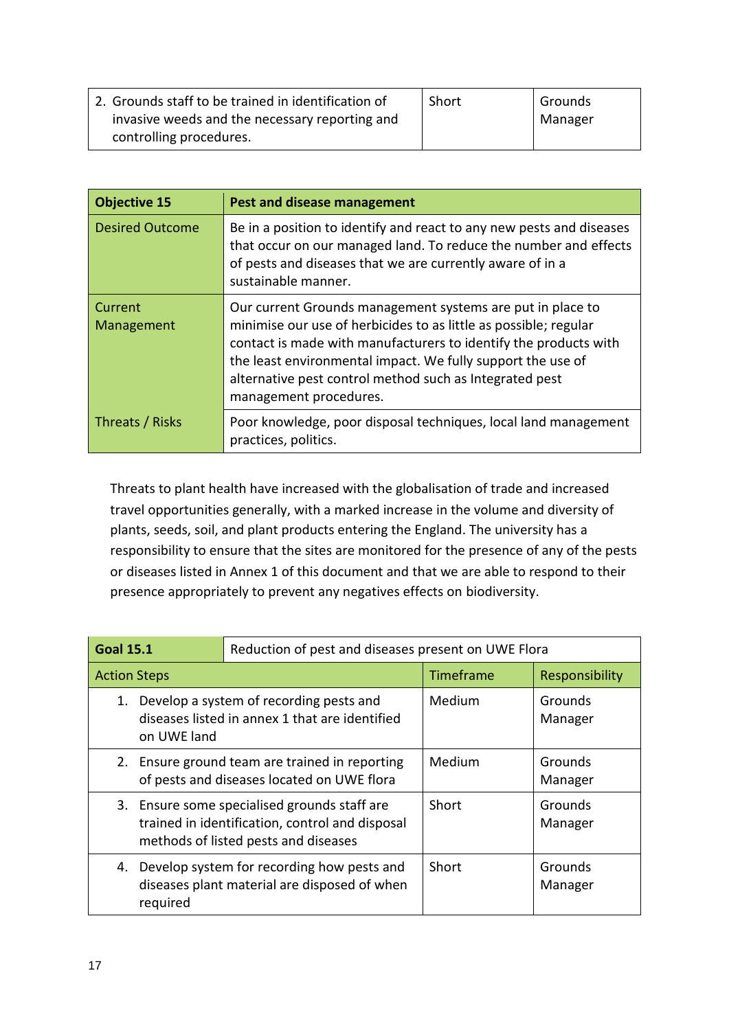| 2. Grounds staff to be trained in identification of | Short | Grounds |
|-----------------------------------------------------|-------|---------|
| invasive weeds and the necessary reporting and      |       | Manager |
| controlling procedures.                             |       |         |

| <b>Objective 15</b>    | Pest and disease management                                                                                                                                                                                                                                                                                                                            |
|------------------------|--------------------------------------------------------------------------------------------------------------------------------------------------------------------------------------------------------------------------------------------------------------------------------------------------------------------------------------------------------|
| <b>Desired Outcome</b> | Be in a position to identify and react to any new pests and diseases<br>that occur on our managed land. To reduce the number and effects<br>of pests and diseases that we are currently aware of in a<br>sustainable manner.                                                                                                                           |
| Current<br>Management  | Our current Grounds management systems are put in place to<br>minimise our use of herbicides to as little as possible; regular<br>contact is made with manufacturers to identify the products with<br>the least environmental impact. We fully support the use of<br>alternative pest control method such as Integrated pest<br>management procedures. |
| Threats / Risks        | Poor knowledge, poor disposal techniques, local land management<br>practices, politics.                                                                                                                                                                                                                                                                |

Threats to plant health have increased with the globalisation of trade and increased travel opportunities generally, with a marked increase in the volume and diversity of plants, seeds, soil, and plant products entering the England. The university has a responsibility to ensure that the sites are monitored for the presence of any of the pests or diseases listed in Annex 1 of this document and that we are able to respond to their presence appropriately to prevent any negatives effects on biodiversity.

| <b>Goal 15.1</b>    |                                                                                                                                         | Reduction of pest and diseases present on UWE Flora                                           |           |                    |
|---------------------|-----------------------------------------------------------------------------------------------------------------------------------------|-----------------------------------------------------------------------------------------------|-----------|--------------------|
| <b>Action Steps</b> |                                                                                                                                         |                                                                                               | Timeframe | Responsibility     |
| 1.                  | on UWE land                                                                                                                             | Develop a system of recording pests and<br>diseases listed in annex 1 that are identified     | Medium    | Grounds<br>Manager |
|                     |                                                                                                                                         | 2. Ensure ground team are trained in reporting<br>of pests and diseases located on UWE flora  | Medium    | Grounds<br>Manager |
|                     | 3. Ensure some specialised grounds staff are<br>trained in identification, control and disposal<br>methods of listed pests and diseases |                                                                                               | Short     | Grounds<br>Manager |
|                     | required                                                                                                                                | 4. Develop system for recording how pests and<br>diseases plant material are disposed of when | Short     | Grounds<br>Manager |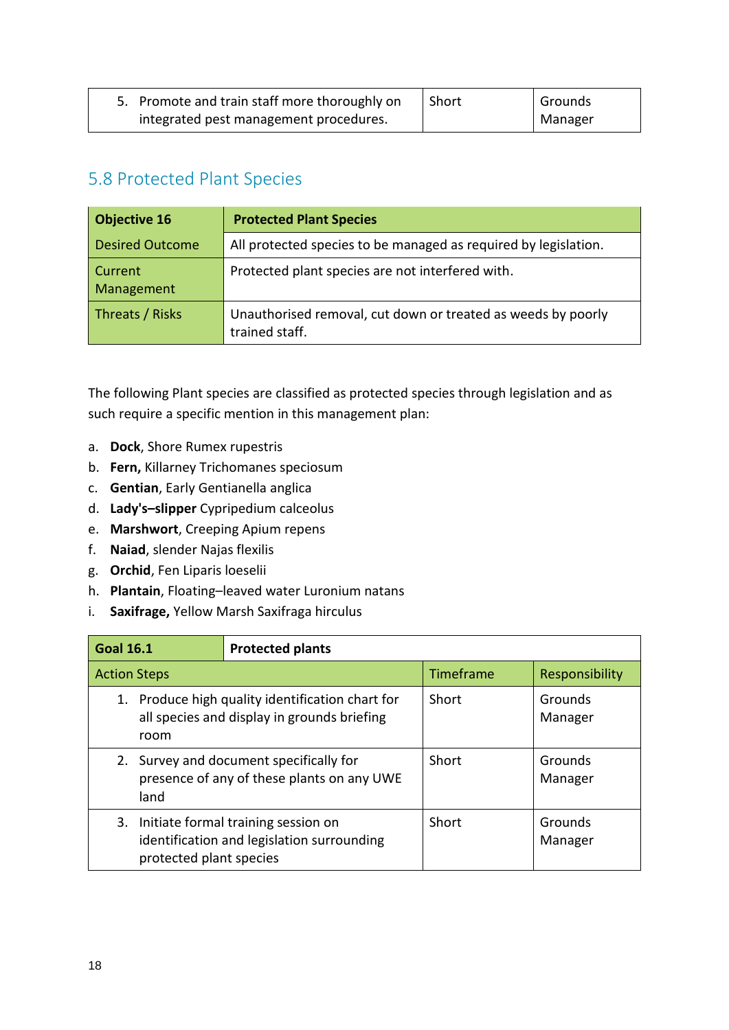| 5. Promote and train staff more thoroughly on | Short | Grounds |
|-----------------------------------------------|-------|---------|
| integrated pest management procedures.        |       | Manager |

# 5.8 Protected Plant Species

| <b>Objective 16</b>    | <b>Protected Plant Species</b>                                                 |
|------------------------|--------------------------------------------------------------------------------|
| <b>Desired Outcome</b> | All protected species to be managed as required by legislation.                |
| Current<br>Management  | Protected plant species are not interfered with.                               |
| Threats / Risks        | Unauthorised removal, cut down or treated as weeds by poorly<br>trained staff. |

The following Plant species are classified as protected species through legislation and as such require a specific mention in this management plan:

- a. **Dock**, Shore Rumex rupestris
- b. **Fern,** Killarney Trichomanes speciosum
- c. **Gentian**, Early Gentianella anglica
- d. **Lady's–slipper** Cypripedium calceolus
- e. **Marshwort**, Creeping Apium repens
- f. **Naiad**, slender Najas flexilis
- g. **Orchid**, Fen Liparis loeselii
- h. **Plantain**, Floating–leaved water Luronium natans
- i. **Saxifrage,** Yellow Marsh Saxifraga hirculus

| <b>Goal 16.1</b>                                                                                                | <b>Protected plants</b>                                                            |           |                    |
|-----------------------------------------------------------------------------------------------------------------|------------------------------------------------------------------------------------|-----------|--------------------|
| <b>Action Steps</b>                                                                                             |                                                                                    | Timeframe | Responsibility     |
| 1. Produce high quality identification chart for<br>all species and display in grounds briefing<br>room         |                                                                                    | Short     | Grounds<br>Manager |
| 2.<br>land                                                                                                      | Survey and document specifically for<br>presence of any of these plants on any UWE |           | Grounds<br>Manager |
| 3. Initiate formal training session on<br>identification and legislation surrounding<br>protected plant species |                                                                                    | Short     | Grounds<br>Manager |